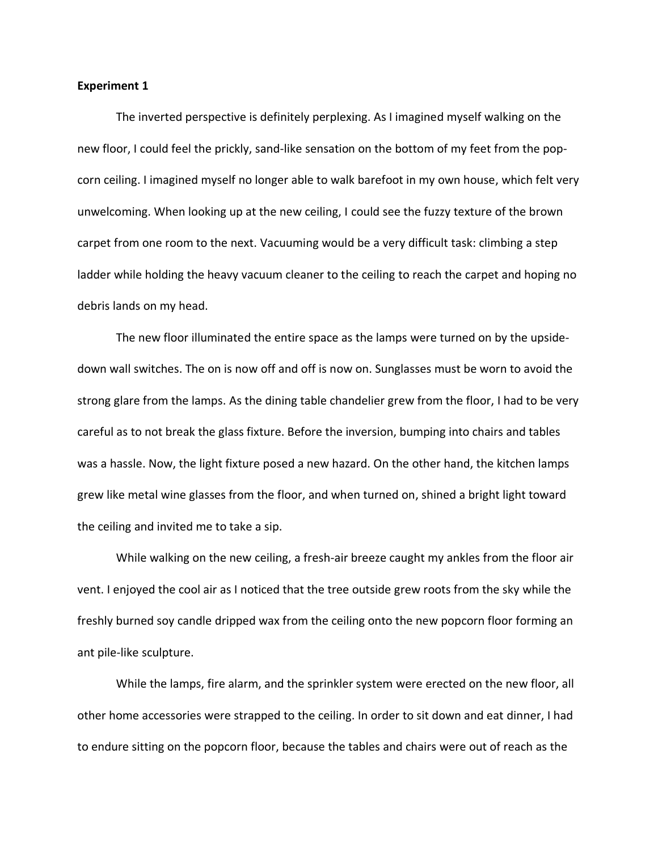## **Experiment 1**

The inverted perspective is definitely perplexing. As I imagined myself walking on the new floor, I could feel the prickly, sand-like sensation on the bottom of my feet from the popcorn ceiling. I imagined myself no longer able to walk barefoot in my own house, which felt very unwelcoming. When looking up at the new ceiling, I could see the fuzzy texture of the brown carpet from one room to the next. Vacuuming would be a very difficult task: climbing a step ladder while holding the heavy vacuum cleaner to the ceiling to reach the carpet and hoping no debris lands on my head.

The new floor illuminated the entire space as the lamps were turned on by the upsidedown wall switches. The on is now off and off is now on. Sunglasses must be worn to avoid the strong glare from the lamps. As the dining table chandelier grew from the floor, I had to be very careful as to not break the glass fixture. Before the inversion, bumping into chairs and tables was a hassle. Now, the light fixture posed a new hazard. On the other hand, the kitchen lamps grew like metal wine glasses from the floor, and when turned on, shined a bright light toward the ceiling and invited me to take a sip.

While walking on the new ceiling, a fresh-air breeze caught my ankles from the floor air vent. I enjoyed the cool air as I noticed that the tree outside grew roots from the sky while the freshly burned soy candle dripped wax from the ceiling onto the new popcorn floor forming an ant pile-like sculpture.

While the lamps, fire alarm, and the sprinkler system were erected on the new floor, all other home accessories were strapped to the ceiling. In order to sit down and eat dinner, I had to endure sitting on the popcorn floor, because the tables and chairs were out of reach as the